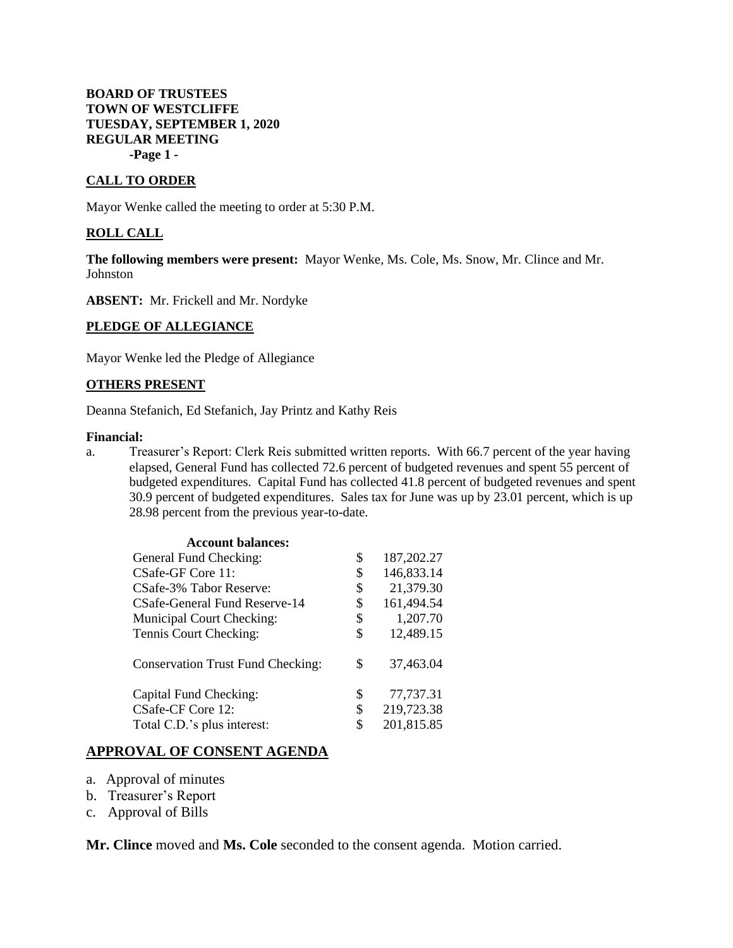### **BOARD OF TRUSTEES TOWN OF WESTCLIFFE TUESDAY, SEPTEMBER 1, 2020 REGULAR MEETING -Page 1 -**

### **CALL TO ORDER**

Mayor Wenke called the meeting to order at 5:30 P.M.

#### **ROLL CALL**

**The following members were present:** Mayor Wenke, Ms. Cole, Ms. Snow, Mr. Clince and Mr. Johnston

**ABSENT:** Mr. Frickell and Mr. Nordyke

#### **PLEDGE OF ALLEGIANCE**

Mayor Wenke led the Pledge of Allegiance

#### **OTHERS PRESENT**

Deanna Stefanich, Ed Stefanich, Jay Printz and Kathy Reis

#### **Financial:**

a. Treasurer's Report: Clerk Reis submitted written reports. With 66.7 percent of the year having elapsed, General Fund has collected 72.6 percent of budgeted revenues and spent 55 percent of budgeted expenditures. Capital Fund has collected 41.8 percent of budgeted revenues and spent 30.9 percent of budgeted expenditures. Sales tax for June was up by 23.01 percent, which is up 28.98 percent from the previous year-to-date.

| <b>Account balances:</b>                 |                  |
|------------------------------------------|------------------|
| General Fund Checking:                   | \$<br>187,202.27 |
| CSafe-GF Core 11:                        | \$<br>146,833.14 |
| CSafe-3% Tabor Reserve:                  | \$<br>21,379.30  |
| CSafe-General Fund Reserve-14            | \$<br>161,494.54 |
| Municipal Court Checking:                | \$<br>1,207.70   |
| Tennis Court Checking:                   | \$<br>12,489.15  |
| <b>Conservation Trust Fund Checking:</b> | \$<br>37,463.04  |
| Capital Fund Checking:                   | \$<br>77,737.31  |
| CSafe-CF Core 12:                        | \$<br>219,723.38 |
| Total C.D.'s plus interest:              | \$<br>201,815.85 |

### **APPROVAL OF CONSENT AGENDA**

- a. Approval of minutes
- b. Treasurer's Report
- c. Approval of Bills

**Mr. Clince** moved and **Ms. Cole** seconded to the consent agenda. Motion carried.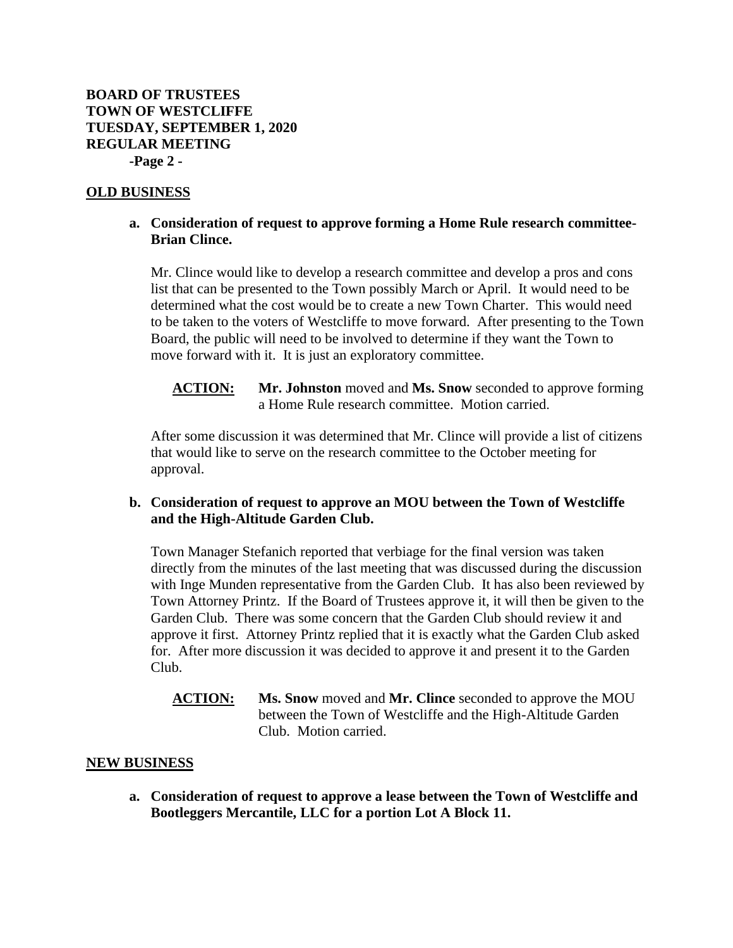# **OLD BUSINESS**

# **a. Consideration of request to approve forming a Home Rule research committee-Brian Clince.**

Mr. Clince would like to develop a research committee and develop a pros and cons list that can be presented to the Town possibly March or April. It would need to be determined what the cost would be to create a new Town Charter. This would need to be taken to the voters of Westcliffe to move forward. After presenting to the Town Board, the public will need to be involved to determine if they want the Town to move forward with it. It is just an exploratory committee.

**ACTION: Mr. Johnston** moved and **Ms. Snow** seconded to approve forming a Home Rule research committee. Motion carried.

After some discussion it was determined that Mr. Clince will provide a list of citizens that would like to serve on the research committee to the October meeting for approval.

# **b. Consideration of request to approve an MOU between the Town of Westcliffe and the High-Altitude Garden Club.**

Town Manager Stefanich reported that verbiage for the final version was taken directly from the minutes of the last meeting that was discussed during the discussion with Inge Munden representative from the Garden Club. It has also been reviewed by Town Attorney Printz. If the Board of Trustees approve it, it will then be given to the Garden Club. There was some concern that the Garden Club should review it and approve it first. Attorney Printz replied that it is exactly what the Garden Club asked for. After more discussion it was decided to approve it and present it to the Garden Club.

**ACTION: Ms. Snow** moved and **Mr. Clince** seconded to approve the MOU between the Town of Westcliffe and the High-Altitude Garden Club. Motion carried.

# **NEW BUSINESS**

**a. Consideration of request to approve a lease between the Town of Westcliffe and Bootleggers Mercantile, LLC for a portion Lot A Block 11.**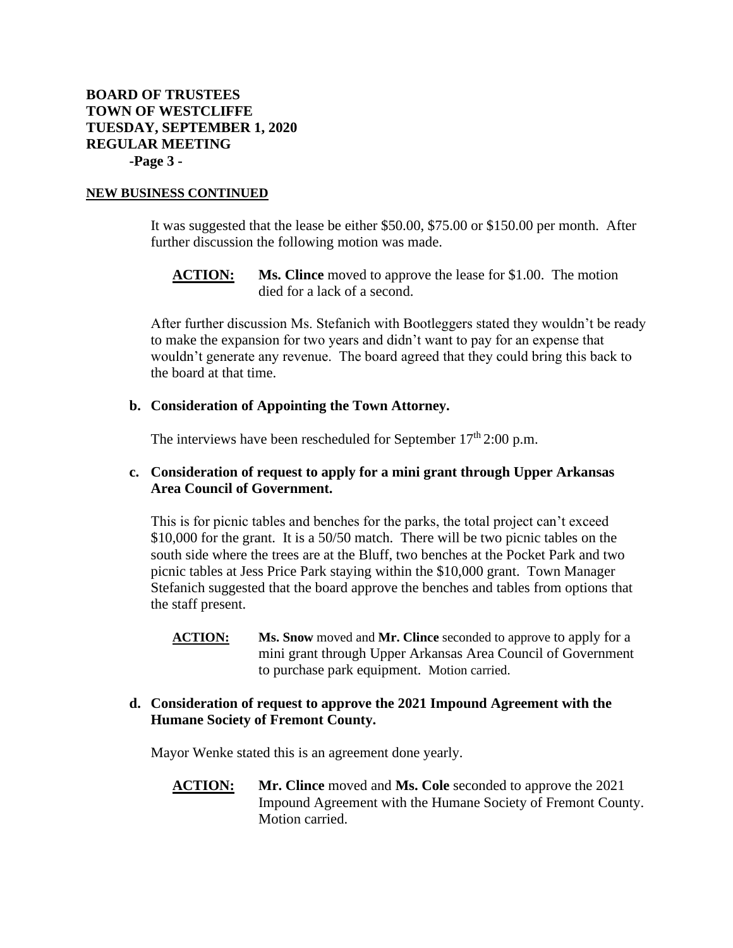#### **NEW BUSINESS CONTINUED**

It was suggested that the lease be either \$50.00, \$75.00 or \$150.00 per month. After further discussion the following motion was made.

**ACTION: Ms. Clince** moved to approve the lease for \$1.00. The motion died for a lack of a second.

After further discussion Ms. Stefanich with Bootleggers stated they wouldn't be ready to make the expansion for two years and didn't want to pay for an expense that wouldn't generate any revenue. The board agreed that they could bring this back to the board at that time.

#### **b. Consideration of Appointing the Town Attorney.**

The interviews have been rescheduled for September  $17<sup>th</sup>$  2:00 p.m.

# **c. Consideration of request to apply for a mini grant through Upper Arkansas Area Council of Government.**

This is for picnic tables and benches for the parks, the total project can't exceed \$10,000 for the grant. It is a 50/50 match. There will be two picnic tables on the south side where the trees are at the Bluff, two benches at the Pocket Park and two picnic tables at Jess Price Park staying within the \$10,000 grant. Town Manager Stefanich suggested that the board approve the benches and tables from options that the staff present.

**ACTION: Ms. Snow** moved and **Mr. Clince** seconded to approve to apply for a mini grant through Upper Arkansas Area Council of Government to purchase park equipment. Motion carried.

# **d. Consideration of request to approve the 2021 Impound Agreement with the Humane Society of Fremont County.**

Mayor Wenke stated this is an agreement done yearly.

**ACTION: Mr. Clince** moved and **Ms. Cole** seconded to approve the 2021 Impound Agreement with the Humane Society of Fremont County. Motion carried.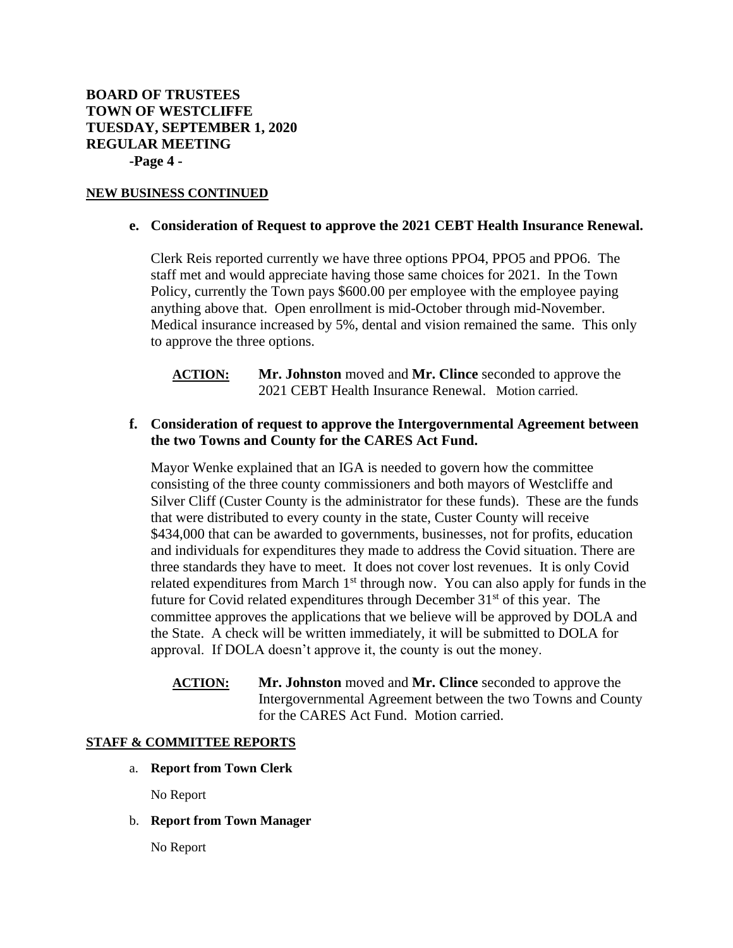### **NEW BUSINESS CONTINUED**

### **e. Consideration of Request to approve the 2021 CEBT Health Insurance Renewal.**

Clerk Reis reported currently we have three options PPO4, PPO5 and PPO6. The staff met and would appreciate having those same choices for 2021. In the Town Policy, currently the Town pays \$600.00 per employee with the employee paying anything above that. Open enrollment is mid-October through mid-November. Medical insurance increased by 5%, dental and vision remained the same. This only to approve the three options.

**ACTION: Mr. Johnston** moved and **Mr. Clince** seconded to approve the 2021 CEBT Health Insurance Renewal. Motion carried.

# **f. Consideration of request to approve the Intergovernmental Agreement between the two Towns and County for the CARES Act Fund.**

Mayor Wenke explained that an IGA is needed to govern how the committee consisting of the three county commissioners and both mayors of Westcliffe and Silver Cliff (Custer County is the administrator for these funds). These are the funds that were distributed to every county in the state, Custer County will receive \$434,000 that can be awarded to governments, businesses, not for profits, education and individuals for expenditures they made to address the Covid situation. There are three standards they have to meet. It does not cover lost revenues. It is only Covid related expenditures from March  $1<sup>st</sup>$  through now. You can also apply for funds in the future for Covid related expenditures through December  $31<sup>st</sup>$  of this year. The committee approves the applications that we believe will be approved by DOLA and the State. A check will be written immediately, it will be submitted to DOLA for approval. If DOLA doesn't approve it, the county is out the money.

**ACTION: Mr. Johnston** moved and **Mr. Clince** seconded to approve the Intergovernmental Agreement between the two Towns and County for the CARES Act Fund. Motion carried.

### **STAFF & COMMITTEE REPORTS**

a. **Report from Town Clerk** 

No Report

b. **Report from Town Manager** 

No Report